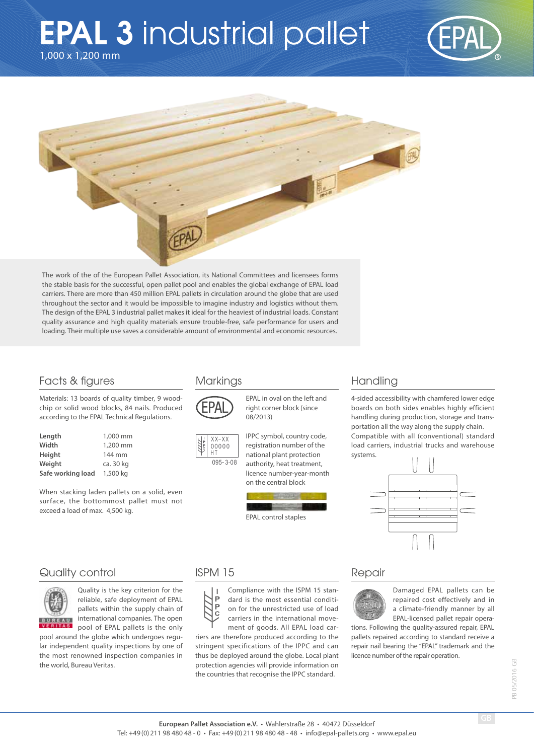# 1,000 x 1,200 mm **EPAL 3 industrial pallet**





The work of the of the European Pallet Association, its National Committees and licensees forms the stable basis for the successful, open pallet pool and enables the global exchange of EPAL load carriers. There are more than 450 million EPAL pallets in circulation around the globe that are used throughout the sector and it would be impossible to imagine industry and logistics without them. The design of the EPAL 3 industrial pallet makes it ideal for the heaviest of industrial loads. Constant quality assurance and high quality materials ensure trouble-free, safe performance for users and loading. Their multiple use saves a considerable amount of environmental and economic resources.

### Facts & figures

#### Markings

Materials: 13 boards of quality timber, 9 woodchip or solid wood blocks, 84 nails. Produced according to the EPAL Technical Regulations.

| Length            | 1,000 mm  |
|-------------------|-----------|
| Width             | 1,200 mm  |
| Height            | 144 mm    |
| Weight            | ca. 30 kg |
| Safe working load | 1,500 kg  |

When stacking laden pallets on a solid, even surface, the bottommost pallet must not exceed a load of max. 4,500 kg.



EPAL in oval on the left and right corner block (since 08/2013)



IPPC symbol, country code, registration number of the national plant protection authority, heat treatment, licence number-year-month on the central block



## Handling

4-sided accessibility with chamfered lower edge boards on both sides enables highly efficient handling during production, storage and transportation all the way along the supply chain. Compatible with all (conventional) standard load carriers, industrial trucks and warehouse systems.



## Quality control



Quality is the key criterion for the reliable, safe deployment of EPAL pallets within the supply chain of international companies. The open pool of EPAL pallets is the only

pool around the globe which undergoes regular independent quality inspections by one of the most renowned inspection companies in the world, Bureau Veritas.

#### ISPM 15

Compliance with the ISPM 15 stan-P dard is the most essential conditi- $\overline{P}$ on for the unrestricted use of load ċ carriers in the international movement of goods. All EPAL load car-

riers are therefore produced according to the stringent specifications of the IPPC and can thus be deployed around the globe. Local plant protection agencies will provide information on the countries that recognise the IPPC standard.

#### Repair



Damaged EPAL pallets can be repaired cost effectively and in a climate-friendly manner by all EPAL-licensed pallet repair opera-

tions. Following the quality-assured repair, EPAL pallets repaired according to standard receive a repair nail bearing the "EPAL" trademark and the licence number of the repair operation.